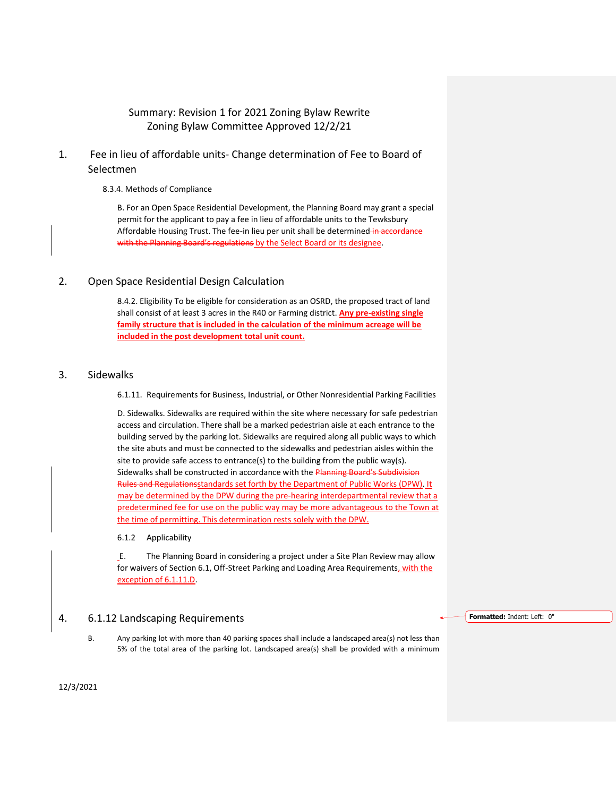# Summary: Revision 1 for 2021 Zoning Bylaw Rewrite Zoning Bylaw Committee Approved 12/2/21

# 1. Fee in lieu of affordable units- Change determination of Fee to Board of Selectmen

8.3.4. Methods of Compliance

B. For an Open Space Residential Development, the Planning Board may grant a special permit for the applicant to pay a fee in lieu of affordable units to the Tewksbury Affordable Housing Trust. The fee-in lieu per unit shall be determined in accordance with the Planning Board's regulations by the Select Board or its designee.

# 2. Open Space Residential Design Calculation

8.4.2. Eligibility To be eligible for consideration as an OSRD, the proposed tract of land shall consist of at least 3 acres in the R40 or Farming district. **Any pre-existing single family structure that is included in the calculation of the minimum acreage will be included in the post development total unit count.**

### 3. Sidewalks

6.1.11. Requirements for Business, Industrial, or Other Nonresidential Parking Facilities

D. Sidewalks. Sidewalks are required within the site where necessary for safe pedestrian access and circulation. There shall be a marked pedestrian aisle at each entrance to the building served by the parking lot. Sidewalks are required along all public ways to which the site abuts and must be connected to the sidewalks and pedestrian aisles within the site to provide safe access to entrance(s) to the building from the public way(s). Sidewalks shall be constructed in accordance with the Planning Board's Subdivision Rules and Regulationsstandards set forth by the Department of Public Works (DPW). It may be determined by the DPW during the pre-hearing interdepartmental review that a predetermined fee for use on the public way may be more advantageous to the Town at the time of permitting. This determination rests solely with the DPW.

#### 6.1.2 Applicability

E. The Planning Board in considering a project under a Site Plan Review may allow for waivers of Section 6.1, Off-Street Parking and Loading Area Requirements, with the exception of 6.1.11.D.

### 4. 6.1.12 Landscaping Requirements

B. Any parking lot with more than 40 parking spaces shall include a landscaped area(s) not less than 5% of the total area of the parking lot. Landscaped area(s) shall be provided with a minimum **Formatted:** Indent: Left: 0"

12/3/2021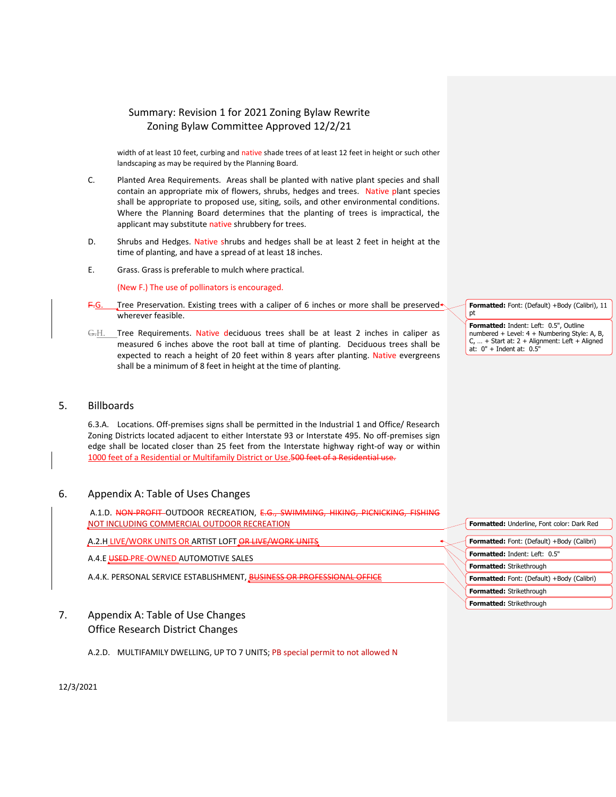# Summary: Revision 1 for 2021 Zoning Bylaw Rewrite Zoning Bylaw Committee Approved 12/2/21

width of at least 10 feet, curbing and native shade trees of at least 12 feet in height or such other landscaping as may be required by the Planning Board.

- C. Planted Area Requirements. Areas shall be planted with native plant species and shall contain an appropriate mix of flowers, shrubs, hedges and trees. Native plant species shall be appropriate to proposed use, siting, soils, and other environmental conditions. Where the Planning Board determines that the planting of trees is impractical, the applicant may substitute native shrubbery for trees.
- D. Shrubs and Hedges. Native shrubs and hedges shall be at least 2 feet in height at the time of planting, and have a spread of at least 18 inches.
- E. Grass. Grass is preferable to mulch where practical.

(New F.) The use of pollinators is encouraged.

- Tree Preservation. Existing trees with a caliper of 6 inches or more shall be preserved wherever feasible.
- G.H. Tree Requirements. Native deciduous trees shall be at least 2 inches in caliper as measured 6 inches above the root ball at time of planting. Deciduous trees shall be expected to reach a height of 20 feet within 8 years after planting. Native evergreens shall be a minimum of 8 feet in height at the time of planting.

## 5. Billboards

6.3.A. Locations. Off-premises signs shall be permitted in the Industrial 1 and Office/ Research Zoning Districts located adjacent to either Interstate 93 or Interstate 495. No off-premises sign edge shall be located closer than 25 feet from the Interstate highway right-of way or within 1000 feet of a Residential or Multifamily District or Use.500 feet of a Residential use.

### 6. Appendix A: Table of Uses Changes

A.1.D. NON-PROFIT-OUTDOOR RECREATION, E.G., SWIMMING, HIKING, PICNICKING, FISHING NOT INCLUDING COMMERCIAL OUTDOOR RECREATION

## A.2.H LIVE/WORK UNITS OR ARTIST LOFT OR LIVE/WORK UNITS

A.4.E USED PRE-OWNED AUTOMOTIVE SALES

A.4.K. PERSONAL SERVICE ESTABLISHMENT, BUSINESS OR PROFESSIONAL OFFICE

- 7. Appendix A: Table of Use Changes Office Research District Changes
	- A.2.D. MULTIFAMILY DWELLING, UP TO 7 UNITS; PB special permit to not allowed N

**Formatted:** Font: (Default) +Body (Calibri), 11 pt

**Formatted:** Indent: Left: 0.5", Outline numbered + Level: 4 + Numbering Style: A, B, C, … + Start at: 2 + Alignment: Left + Aligned at: 0" + Indent at: 0.5"

| Formatted: Underline, Font color: Dark Red        |
|---------------------------------------------------|
|                                                   |
| Formatted: Font: (Default) +Body (Calibri)        |
| <b>Formatted: Indent: Left: 0.5"</b>              |
| Formatted: Strikethrough                          |
| <b>Formatted:</b> Font: (Default) +Body (Calibri) |
| <b>Formatted: Strikethrough</b>                   |
| <b>Formatted: Strikethrough</b>                   |
|                                                   |

12/3/2021